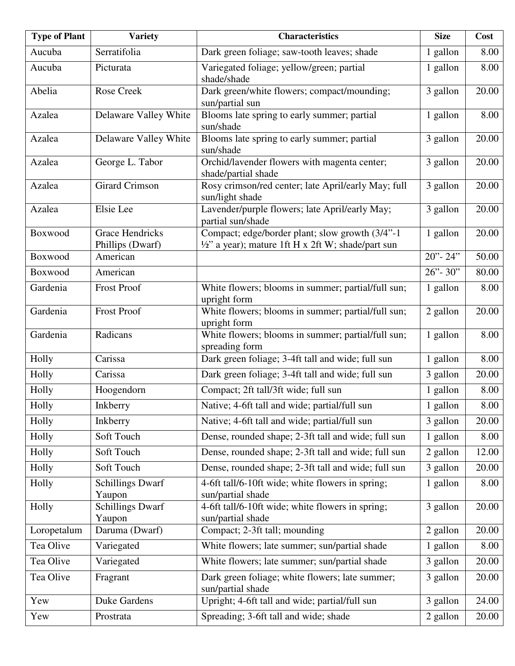| <b>Type of Plant</b> | <b>Variety</b>                             | <b>Characteristics</b>                                                                                            | <b>Size</b> | Cost  |
|----------------------|--------------------------------------------|-------------------------------------------------------------------------------------------------------------------|-------------|-------|
| Aucuba               | Serratifolia                               | Dark green foliage; saw-tooth leaves; shade                                                                       | 1 gallon    | 8.00  |
| Aucuba               | Picturata                                  | Variegated foliage; yellow/green; partial<br>shade/shade                                                          | 1 gallon    | 8.00  |
| Abelia               | Rose Creek                                 | Dark green/white flowers; compact/mounding;<br>sun/partial sun                                                    | 3 gallon    | 20.00 |
| Azalea               | Delaware Valley White                      | Blooms late spring to early summer; partial<br>sun/shade                                                          | 1 gallon    | 8.00  |
| Azalea               | Delaware Valley White                      | Blooms late spring to early summer; partial<br>sun/shade                                                          | 3 gallon    | 20.00 |
| Azalea               | George L. Tabor                            | Orchid/lavender flowers with magenta center;<br>shade/partial shade                                               | 3 gallon    | 20.00 |
| Azalea               | <b>Girard Crimson</b>                      | Rosy crimson/red center; late April/early May; full<br>sun/light shade                                            | 3 gallon    | 20.00 |
| Azalea               | Elsie Lee                                  | Lavender/purple flowers; late April/early May;<br>partial sun/shade                                               | 3 gallon    | 20.00 |
| Boxwood              | <b>Grace Hendricks</b><br>Phillips (Dwarf) | Compact; edge/border plant; slow growth (3/4"-1)<br>$\frac{1}{2}$ " a year); mature 1ft H x 2ft W; shade/part sun | 1 gallon    | 20.00 |
| Boxwood              | American                                   |                                                                                                                   | $20 - 24$   | 50.00 |
| Boxwood              | American                                   |                                                                                                                   | $26 - 30$   | 80.00 |
| Gardenia             | <b>Frost Proof</b>                         | White flowers; blooms in summer; partial/full sun;<br>upright form                                                | 1 gallon    | 8.00  |
| Gardenia             | <b>Frost Proof</b>                         | White flowers; blooms in summer; partial/full sun;<br>upright form                                                | 2 gallon    | 20.00 |
| Gardenia             | Radicans                                   | White flowers; blooms in summer; partial/full sun;<br>spreading form                                              | 1 gallon    | 8.00  |
| Holly                | Carissa                                    | Dark green foliage; 3-4ft tall and wide; full sun                                                                 | 1 gallon    | 8.00  |
| Holly                | Carissa                                    | Dark green foliage; 3-4ft tall and wide; full sun                                                                 | 3 gallon    | 20.00 |
| Holly                | Hoogendorn                                 | Compact; 2ft tall/3ft wide; full sun                                                                              | 1 gallon    | 8.00  |
| Holly                | Inkberry                                   | Native; 4-6ft tall and wide; partial/full sun                                                                     | 1 gallon    | 8.00  |
| Holly                | Inkberry                                   | Native; 4-6ft tall and wide; partial/full sun                                                                     | 3 gallon    | 20.00 |
| Holly                | Soft Touch                                 | Dense, rounded shape; 2-3ft tall and wide; full sun                                                               | 1 gallon    | 8.00  |
| Holly                | Soft Touch                                 | Dense, rounded shape; 2-3ft tall and wide; full sun                                                               | 2 gallon    | 12.00 |
| Holly                | Soft Touch                                 | Dense, rounded shape; 2-3ft tall and wide; full sun                                                               | 3 gallon    | 20.00 |
| Holly                | <b>Schillings Dwarf</b><br>Yaupon          | 4-6ft tall/6-10ft wide; white flowers in spring;<br>sun/partial shade                                             | 1 gallon    | 8.00  |
| Holly                | <b>Schillings Dwarf</b><br>Yaupon          | 4-6ft tall/6-10ft wide; white flowers in spring;<br>sun/partial shade                                             | 3 gallon    | 20.00 |
| Loropetalum          | Daruma (Dwarf)                             | Compact; 2-3ft tall; mounding                                                                                     | 2 gallon    | 20.00 |
| Tea Olive            | Variegated                                 | White flowers; late summer; sun/partial shade                                                                     | 1 gallon    | 8.00  |
| Tea Olive            | Variegated                                 | White flowers; late summer; sun/partial shade                                                                     | 3 gallon    | 20.00 |
| Tea Olive            | Fragrant                                   | Dark green foliage; white flowers; late summer;<br>sun/partial shade                                              | 3 gallon    | 20.00 |
| Yew                  | Duke Gardens                               | Upright; 4-6ft tall and wide; partial/full sun                                                                    | 3 gallon    | 24.00 |
| Yew                  | Prostrata                                  | Spreading; 3-6ft tall and wide; shade                                                                             | 2 gallon    | 20.00 |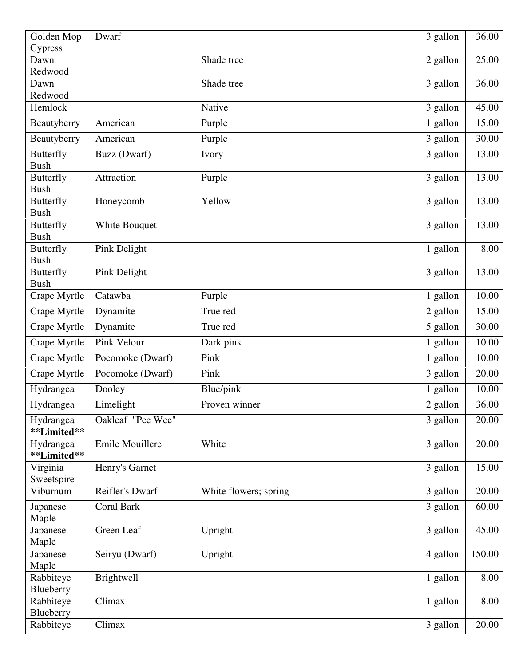| Golden Mop                      | Dwarf             |                       | 3 gallon | 36.00  |
|---------------------------------|-------------------|-----------------------|----------|--------|
| Cypress                         |                   |                       |          |        |
| Dawn                            |                   | Shade tree            | 2 gallon | 25.00  |
| Redwood                         |                   |                       |          |        |
| Dawn                            |                   | Shade tree            | 3 gallon | 36.00  |
| Redwood                         |                   |                       |          | 45.00  |
| Hemlock                         |                   | Native                | 3 gallon |        |
| Beautyberry                     | American          | Purple                | 1 gallon | 15.00  |
| Beautyberry                     | American          | Purple                | 3 gallon | 30.00  |
| <b>Butterfly</b><br><b>Bush</b> | Buzz (Dwarf)      | Ivory                 | 3 gallon | 13.00  |
| <b>Butterfly</b><br><b>Bush</b> | Attraction        | Purple                | 3 gallon | 13.00  |
| <b>Butterfly</b><br><b>Bush</b> | Honeycomb         | Yellow                | 3 gallon | 13.00  |
| <b>Butterfly</b>                | White Bouquet     |                       | 3 gallon | 13.00  |
| <b>Bush</b>                     |                   |                       |          |        |
| <b>Butterfly</b><br><b>Bush</b> | Pink Delight      |                       | 1 gallon | 8.00   |
| <b>Butterfly</b><br><b>Bush</b> | Pink Delight      |                       | 3 gallon | 13.00  |
| Crape Myrtle                    | Catawba           | Purple                | 1 gallon | 10.00  |
| Crape Myrtle                    | Dynamite          | True red              | 2 gallon | 15.00  |
| Crape Myrtle                    | Dynamite          | True red              | 5 gallon | 30.00  |
| Crape Myrtle                    | Pink Velour       | Dark pink             | 1 gallon | 10.00  |
| Crape Myrtle                    | Pocomoke (Dwarf)  | Pink                  | 1 gallon | 10.00  |
| Crape Myrtle                    | Pocomoke (Dwarf)  | Pink                  | 3 gallon | 20.00  |
| Hydrangea                       | Dooley            | Blue/pink             | 1 gallon | 10.00  |
| Hydrangea                       | Limelight         | Proven winner         | 2 gallon | 36.00  |
| Hydrangea<br>**Limited**        | Oakleaf "Pee Wee" |                       | 3 gallon | 20.00  |
| Hydrangea<br>**Limited**        | Emile Mouillere   | White                 | 3 gallon | 20.00  |
| Virginia<br>Sweetspire          | Henry's Garnet    |                       | 3 gallon | 15.00  |
| Viburnum                        | Reifler's Dwarf   | White flowers; spring | 3 gallon | 20.00  |
| Japanese<br>Maple               | Coral Bark        |                       | 3 gallon | 60.00  |
| Japanese<br>Maple               | Green Leaf        | Upright               | 3 gallon | 45.00  |
| Japanese<br>Maple               | Seiryu (Dwarf)    | Upright               | 4 gallon | 150.00 |
| Rabbiteye                       | Brightwell        |                       | 1 gallon | 8.00   |
| Blueberry                       |                   |                       |          |        |
| Rabbiteye                       | Climax            |                       | 1 gallon | 8.00   |
| Blueberry<br>Rabbiteye          | Climax            |                       | 3 gallon | 20.00  |
|                                 |                   |                       |          |        |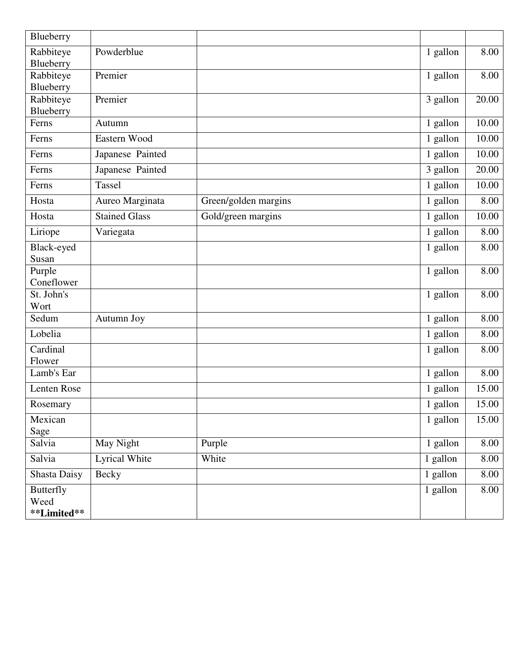| Blueberry                               |                      |                      |          |       |
|-----------------------------------------|----------------------|----------------------|----------|-------|
| Rabbiteye<br>Blueberry                  | Powderblue           |                      | 1 gallon | 8.00  |
| Rabbiteye<br>Blueberry                  | Premier              |                      | 1 gallon | 8.00  |
| Rabbiteye<br>Blueberry                  | Premier              |                      | 3 gallon | 20.00 |
| Ferns                                   | Autumn               |                      | 1 gallon | 10.00 |
| Ferns                                   | Eastern Wood         |                      | 1 gallon | 10.00 |
| Ferns                                   | Japanese Painted     |                      | 1 gallon | 10.00 |
| Ferns                                   | Japanese Painted     |                      | 3 gallon | 20.00 |
| Ferns                                   | <b>Tassel</b>        |                      | 1 gallon | 10.00 |
| Hosta                                   | Aureo Marginata      | Green/golden margins | 1 gallon | 8.00  |
| Hosta                                   | <b>Stained Glass</b> | Gold/green margins   | 1 gallon | 10.00 |
| Liriope                                 | Variegata            |                      | 1 gallon | 8.00  |
| Black-eyed<br>Susan                     |                      |                      | 1 gallon | 8.00  |
| Purple<br>Coneflower                    |                      |                      | 1 gallon | 8.00  |
| St. John's<br>Wort                      |                      |                      | 1 gallon | 8.00  |
| Sedum                                   | Autumn Joy           |                      | 1 gallon | 8.00  |
| Lobelia                                 |                      |                      | 1 gallon | 8.00  |
| Cardinal<br>Flower                      |                      |                      | 1 gallon | 8.00  |
| Lamb's Ear                              |                      |                      | 1 gallon | 8.00  |
| Lenten Rose                             |                      |                      | 1 gallon | 15.00 |
| Rosemary                                |                      |                      | 1 gallon | 15.00 |
| Mexican<br>Sage                         |                      |                      | 1 gallon | 15.00 |
| Salvia                                  | May Night            | Purple               | 1 gallon | 8.00  |
| Salvia                                  | Lyrical White        | White                | 1 gallon | 8.00  |
| <b>Shasta Daisy</b>                     | Becky                |                      | 1 gallon | 8.00  |
| <b>Butterfly</b><br>Weed<br>**Limited** |                      |                      | 1 gallon | 8.00  |